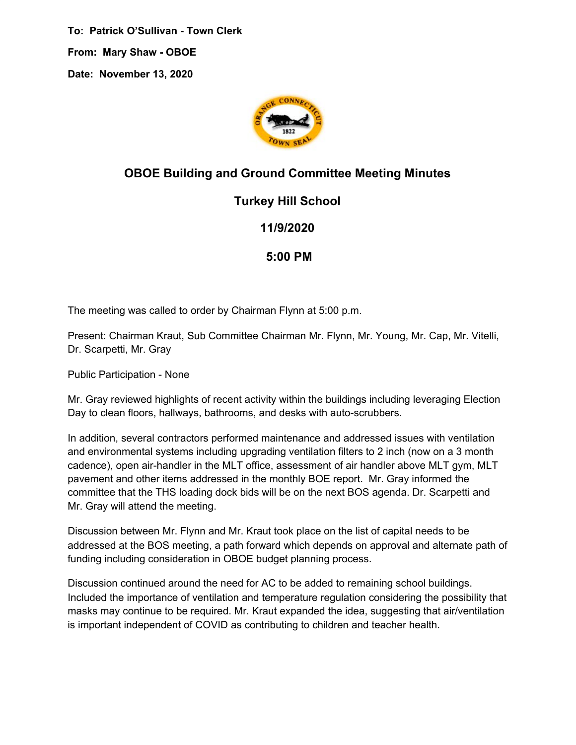**To: Patrick O'Sullivan - Town Clerk From: Mary Shaw - OBOE Date: November 13, 2020**



## **OBOE Building and Ground Committee Meeting Minutes**

## **Turkey Hill School**

## **11/9/2020**

## **5:00 PM**

The meeting was called to order by Chairman Flynn at 5:00 p.m.

Present: Chairman Kraut, Sub Committee Chairman Mr. Flynn, Mr. Young, Mr. Cap, Mr. Vitelli, Dr. Scarpetti, Mr. Gray

Public Participation - None

Mr. Gray reviewed highlights of recent activity within the buildings including leveraging Election Day to clean floors, hallways, bathrooms, and desks with auto-scrubbers.

In addition, several contractors performed maintenance and addressed issues with ventilation and environmental systems including upgrading ventilation filters to 2 inch (now on a 3 month cadence), open air-handler in the MLT office, assessment of air handler above MLT gym, MLT pavement and other items addressed in the monthly BOE report. Mr. Gray informed the committee that the THS loading dock bids will be on the next BOS agenda. Dr. Scarpetti and Mr. Gray will attend the meeting.

Discussion between Mr. Flynn and Mr. Kraut took place on the list of capital needs to be addressed at the BOS meeting, a path forward which depends on approval and alternate path of funding including consideration in OBOE budget planning process.

Discussion continued around the need for AC to be added to remaining school buildings. Included the importance of ventilation and temperature regulation considering the possibility that masks may continue to be required. Mr. Kraut expanded the idea, suggesting that air/ventilation is important independent of COVID as contributing to children and teacher health.